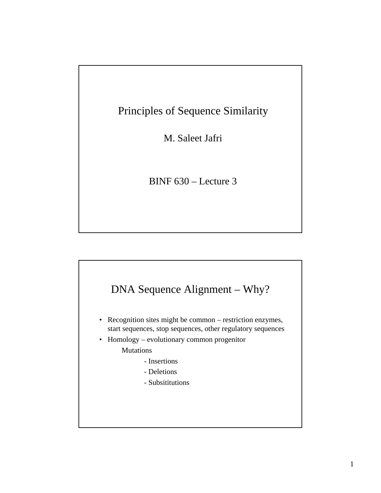# Principles of Sequence Similarity

M. Saleet Jafri

BINF 630 – Lecture 3

### DNA Sequence Alignment – Why?

- Recognition sites might be common restriction enzymes, start sequences, stop sequences, other regulatory sequences
- Homology evolutionary common progenitor **Mutations** 
	- Insertions
	- Deletions
	- Subsititutions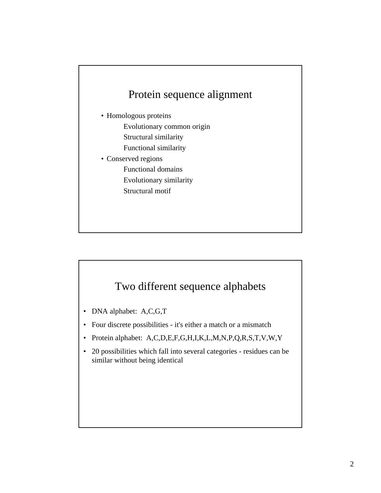# Protein sequence alignment

- Homologous proteins Evolutionary common origin Structural similarity Functional similarity
- Conserved regions Functional domains Evolutionary similarity Structural motif

#### Two different sequence alphabets

- DNA alphabet: A,C,G,T
- Four discrete possibilities it's either a match or a mismatch
- Protein alphabet: A,C,D,E,F,G,H,I,K,L,M,N,P,Q,R,S,T,V,W,Y
- 20 possibilities which fall into several categories residues can be similar without being identical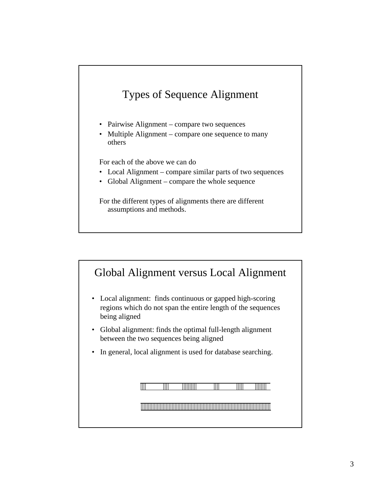# Types of Sequence Alignment

- Pairwise Alignment compare two sequences
- Multiple Alignment compare one sequence to many others

For each of the above we can do

- Local Alignment compare similar parts of two sequences
- Global Alignment compare the whole sequence

For the different types of alignments there are different assumptions and methods.

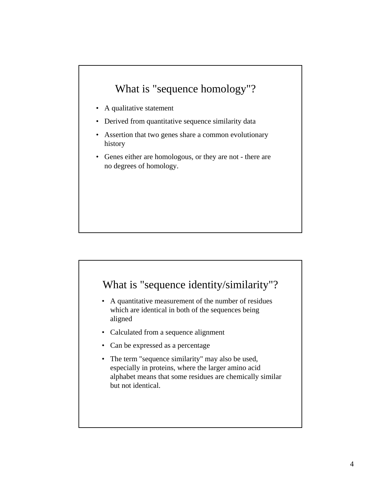### What is "sequence homology"?

- A qualitative statement
- Derived from quantitative sequence similarity data
- Assertion that two genes share a common evolutionary history history
- Genes either are homologous, or they are not there are no degrees of homology.

#### What is "sequence identity/similarity"?

- A quantitative measurement of the number of residues which are identical in both of the sequences being aligned aligned
- Calculated from a sequence alignment
- Can be expressed as a percentage
- The term "sequence similarity" may also be used, especially in proteins, where the larger amino acid alphabet means that some residues are chemically similar but not identical.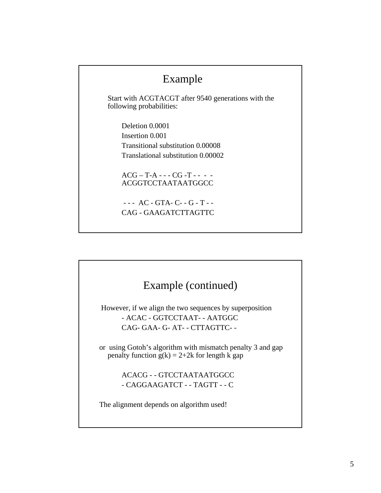#### Example

Start with ACGTACGT after 9540 generations with the following probabilities:

Deletion 0.0001 Insertion 0.001 Transitional substitution 0.00008 Translational substitution 0.00002

 $ACG - T-A - - CG - T - - -$ ACGGTCCTAATAATGGCC

- - - AC - GTA- C- - G - T - - CAG - GAAGATCTTAGTTC

# Example (continued) However, if we align the two sequences by superposition - ACAC - GGTCCTAAT- - AATGGC CAG- GAA- G- AT- - CTTAGTTC- or using Gotoh's algorithm with mismatch penalty 3 and gap penalty function  $g(k) = 2+2k$  for length k gap ACACG - - GTCCTAATAATGGCC - CAGGAAGATCT - - TAGTT - - C The alignment depends on algorithm used!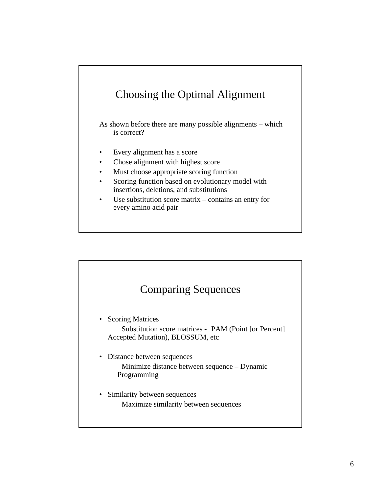# Choosing the Optimal Alignment

As shown before there are many possible alignments – which is correct?

- Every alignment has a score
- Chose alignment with highest score
- Must choose appropriate scoring function
- Scoring function based on evolutionary model with insertions, deletions, and substitutions
- Use substitution score matrix  $-$  contains an entry for every amino acid pair

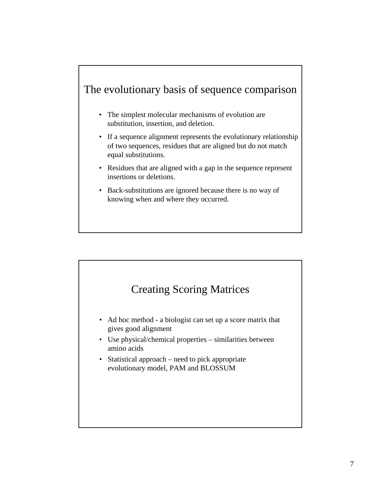### The evolutionary basis of sequence comparison

- The simplest molecular mechanisms of evolution are substitution, insertion, and deletion.
- If a sequence alignment represents the evolutionary relationship of two sequences, residues that are aligned but do not match equal substitutions.
- Residues that are aligned with a gap in the sequence represent insertions or deletions.
- Back-substitutions are ignored because there is no way of knowing when and where they occurred.



- Use physical/chemical properties similarities between amino acids
- Statistical approach need to pick appropriate evolutionary model, PAM and BLOSSUM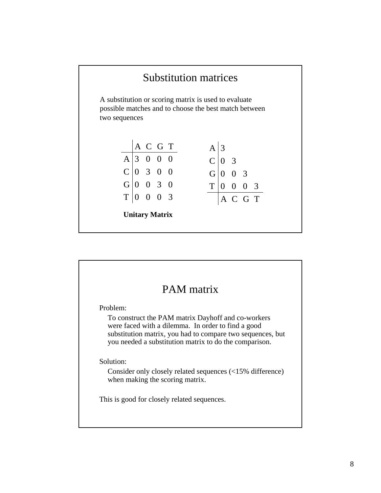

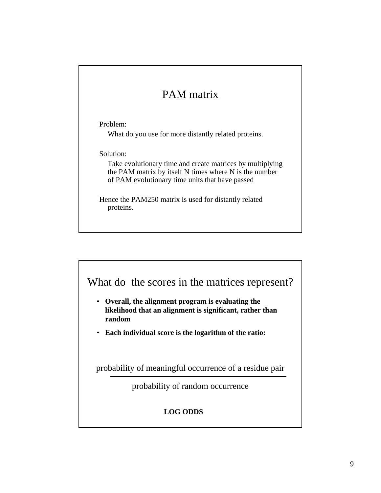# PAM matrix

Problem:

What do you use for more distantly related proteins.

Solution:

Take evolutionary time and create matrices by multiplying the PAM matrix by itself N times where N is the number of PAM evolutionary time units that have passed

Hence the PAM250 matrix is used for distantly related proteins.



- **likelihood that an alignment is significant, rather than likelihood that an alignment is significant, rather than random**
- **Each individual score is the logarithm of the ratio: Each individual score is the logarithm of the ratio:**

probability of meaningful occurrence of a residue pair

probability of random occurrence

#### **LOG ODDS**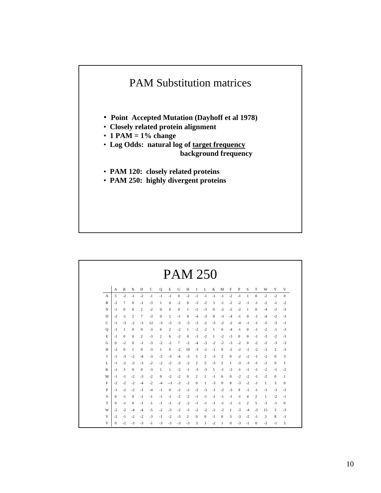

|              |          |              |              |              |      |              |              | <b>PAM 250</b> |              |              |              |              |              |              |              |              |              |      |              |              |
|--------------|----------|--------------|--------------|--------------|------|--------------|--------------|----------------|--------------|--------------|--------------|--------------|--------------|--------------|--------------|--------------|--------------|------|--------------|--------------|
|              | A        | R            | N            | D            | C    | Q            | Е            | G              | H            | 1            | L            | K            | M            | F            | P            | S            | T            | W    | Y            | V            |
| $\mathbf{A}$ | 5        | $-2$         | $-1$         | $-2$         | $-1$ | $-1$         | $-1$         | $\mathbf{0}$   | $-2$         | $-1$         | $-1$         | $-1$         | $-1$         | $-2$         | -1           | 1            | $\mathbf{0}$ | $-2$ | $-2$         | $\mathbf{0}$ |
| R            | $-2$     | 7            | $\mathbf{0}$ | -1           | $-3$ | 1            | $\mathbf{0}$ | $-2$           | $\mathbf{0}$ | $-3$         | $-2$         | 3            | -1           | -2           | $-2$         | -1           | -1           | $-2$ | $-1$         | $-2$         |
| N            | $-1$     | $\mathbf{0}$ | 6            | 2            | $-2$ | $\mathbf{0}$ | $\mathbf{0}$ | $\mathbf{0}$   | 1            | $-2$         | $-3$         | $\mathbf{0}$ | $-2$         | $-2$         | $-2$         | 1            | $\mathbf{0}$ | $-4$ | $-2$         | $-3$         |
| D            | $-2$     | $-1$         | 2            | 7            | $-3$ | $\mathbf{0}$ | 2            | $-1$           | $\mathbf{0}$ | $-4$         | $-3$         | $\mathbf{0}$ | $-3$         | -4           | -1           | $\mathbf{0}$ | $-1$         | $-4$ | $-2$         | $-3$         |
| C            | -1       | $-3$         | $-2$         | $-3$         | 12   | $-3$         | $-3$         | $-3$           | $-3$         | $-3$         | $-2$         | $-3$         | $-2$         | $-2$         | $-4$         | -1           | $-1$         | $-5$ | $-3$         | $-1$         |
| $\circ$      | -1       | 1            | $\theta$     | $\mathbf{0}$ | $-3$ | 6            | 2            | $-2$           | 1            | $-2$         | $-2$         | 1            | $\mathbf{0}$ | -4           | -1           | $\Omega$     | $-1$         | $-2$ | $-1$         | $-3$         |
| E            | $-1$     | $\mathbf{0}$ | $\Omega$     | 2            | $-3$ | 2            | 6            | $-2$           | $\mathbf{0}$ | $-3$         | $-2$         | 1            | $-2$         | $-3$         | $\mathbf{0}$ | $\Omega$     | $-1$         | $-3$ | $-2$         | $-3$         |
| G            | $\bf{0}$ | $-2$         | $\mathbf{0}$ | $-1$         | $-3$ | $-2$         | $-2$         | 7              | $-2$         | $-4$         | $-3$         | $-2$         | $-2$         | $-3$         | $-2$         | $\mathbf{0}$ | $-2$         | $-2$ | $-3$         | $-3$         |
| H            | $-2$     | $\mathbf{0}$ | 1            | $\mathbf{0}$ | $-3$ | 1            | $\mathbf{0}$ | $-2$           | 10           | $-3$         | $-2$         | $-1$         | $\mathbf{0}$ | $-2$         | $-2$         | -1           | $-2$         | $-3$ | 2            | $-3$         |
| L            | -1       | $-3$         | $-2$         | -4           | $-3$ | $-2$         | $-3$         | $-4$           | $-3$         | 5            | 2            | $-3$         | 2            | $\mathbf{0}$ | $-2$         | $-2$         | $-1$         | $-2$ | $\mathbf{0}$ | 3            |
| L            | -1       | $-2$         | $-3$         | $-3$         | $-2$ | $-2$         | $-2$         | $-3$           | $-2$         | 2            | 5            | $-3$         | 2            | 1            | $-3$         | $-3$         | $-1$         | $-2$ | $\mathbf{0}$ | 1            |
| K            | $-1$     | 3            | $\mathbf{0}$ | $\mathbf{0}$ | $-3$ | 1            | 1            | $-2$           | $-1$         | $-3$         | $-3$         | 5            | -1           | $-3$         | -1           | -1           | $-1$         | $-2$ | $-1$         | $-2$         |
| M            | -1       | -1           | $-2$         | $-3$         | $-2$ | $\mathbf{0}$ | $-2$         | $-2$           | $\bf{0}$     | 2            | 2            | $-1$         | 6            | $\mathbf{0}$ | $-2$         | $-2$         | -1           | $-2$ | $\mathbf{0}$ | 1            |
| F            | $-2$     | $-2$         | $-2$         | -4           | $-2$ | -4           | $-3$         | $-3$           | $-2$         | $\mathbf{0}$ | 1            | $-3$         | $\mathbf{0}$ | 8            | $-3$         | $-2$         | -1           | 1    | 3            | $\mathbf{0}$ |
| P            | -1       | $-2$         | $-2$         | -1           | $-4$ | -1           | $\mathbf{0}$ | $-2$           | $-2$         | $-2$         | $-3$         | -1           | $-2$         | $-3$         | 9            | -1           | -1           | $-3$ | $-3$         | $-3$         |
| S            | $\Omega$ | -1           | $\theta$     | -1           | $-1$ | -1           | $-1$         | $-2$           | $-2$         | -1           | -1           | - 1          | -1           | -1           | -1           | 4            | 2            | 1    | $-2$         | -1           |
| T            | 0        | -1           | $\mathbf{0}$ | -1           | $-1$ | -1           | $-1$         | $-2$           | $-2$         | $-1$         | -1           | -1           | -1           | $^{-1}$      | -1           | 2            | 5            | $-3$ | $-1$         | $\theta$     |
| W            | $-2$     | $-2$         | -4           | -4           | $-5$ | $-2$         | $-3$         | $-2$           | $-3$         | $-2$         | $-2$         | $-2$         | $-2$         | 1            | $-3$         | -4           | $-3$         | 15   | 3            | $-3$         |
| Y            | $-2$     | -1           | $-2$         | $-2$         | $-3$ | $-1$         | $-2$         | $-3$           | 2            | $\mathbf{0}$ | $\mathbf{0}$ | -1           | $\mathbf{0}$ | 3            | $-3$         | $-2$         | -1           | 3    | 8            | $-1$         |
| V            | 0        | $-2$         | $-3$         | $-3$         | $-1$ | $-3$         | $-3$         | $-3$           | $-3$         | 3            | 1            | $-2$         | 1            | $\mathbf{0}$ | $-3$         | -1           | $\mathbf{0}$ | $-3$ | $-1$         | 5            |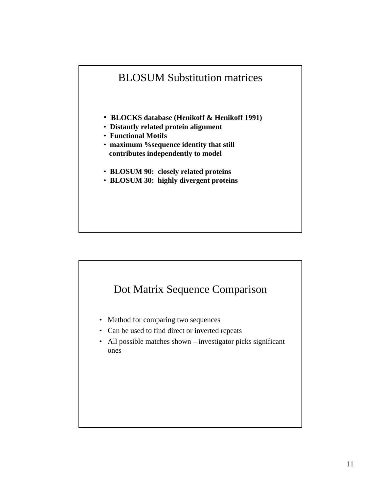

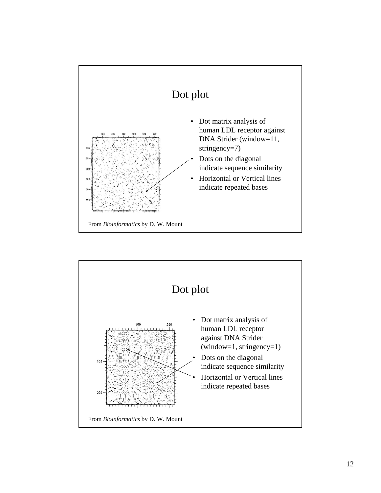

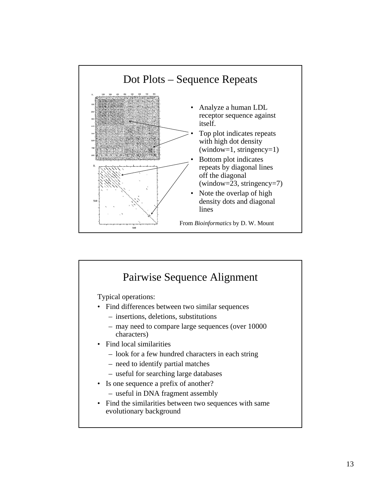

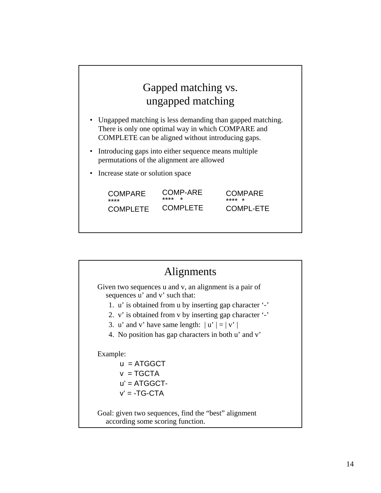

| Alignments                                                                                                                                                                                                                                                                                                            |
|-----------------------------------------------------------------------------------------------------------------------------------------------------------------------------------------------------------------------------------------------------------------------------------------------------------------------|
| Given two sequences u and v, an alignment is a pair of<br>sequences u' and v' such that:<br>1. u' is obtained from u by inserting gap character '-'<br>2. v' is obtained from v by inserting gap character '-'<br>3. u' and v' have same length: $ u'  =  v' $<br>4. No position has gap characters in both u' and v' |
| Example:<br>$u = ATGGCT$<br>$v = TGCTA$                                                                                                                                                                                                                                                                               |
| $u' = ATGGCT -$<br>$v' = -TG - CTA$<br>Goal: given two sequences, find the "best" alignment<br>according some scoring function.                                                                                                                                                                                       |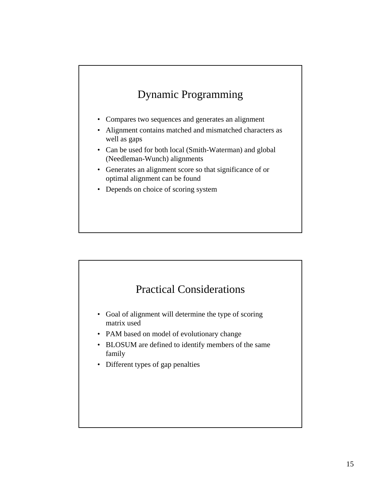# Dynamic Programming

- Compares two sequences and generates an alignment
- Alignment contains matched and mismatched characters as well as gaps
- Can be used for both local (Smith-Waterman) and global (Needleman-Wunch) alignments
- Generates an alignment score so that significance of or optimal alignment can be found
- Depends on choice of scoring system

#### Practical Considerations

- Goal of alignment will determine the type of scoring matrix used
- PAM based on model of evolutionary change
- BLOSUM are defined to identify members of the same family
- Different types of gap penalties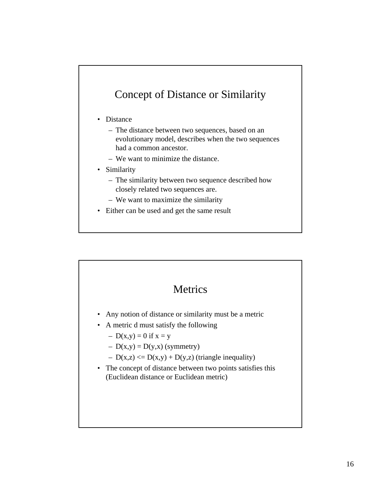### Concept of Distance or Similarity

- Distance
	- The distance between two sequences, based on an evolutionary model, describes when the two sequences had a common ancestor.
	- We want to minimize the distance.
- Similarity
	- The similarity between two sequence described how closely related two sequences are.
	- We want to maximize the similarity
- Either can be used and get the same result

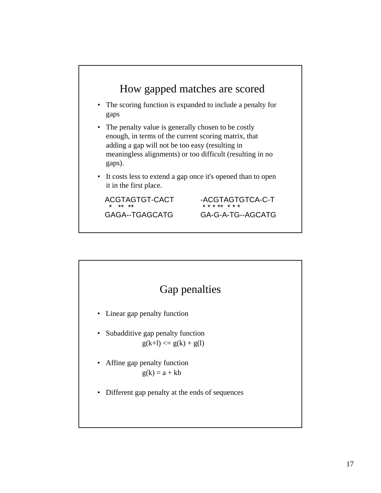

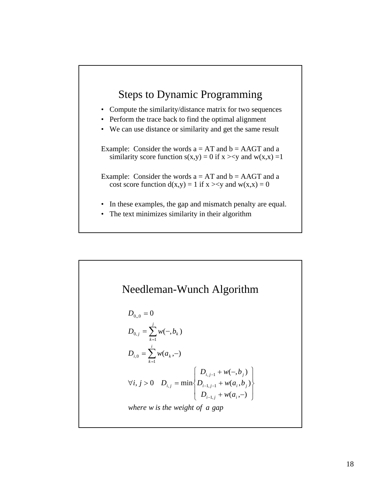

• The text minimizes similarity in their algorithm

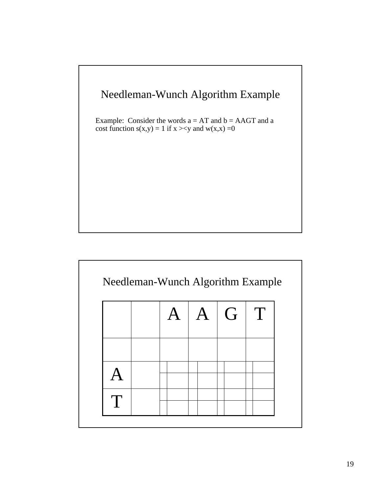

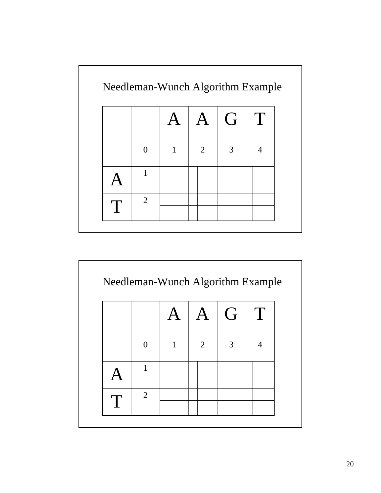

|                |   | $\mathbf{A}$ | G | T              |
|----------------|---|--------------|---|----------------|
| $\Omega$       | 1 | 2            | 3 | $\overline{4}$ |
| 1              |   |              |   |                |
| $\overline{2}$ |   |              |   |                |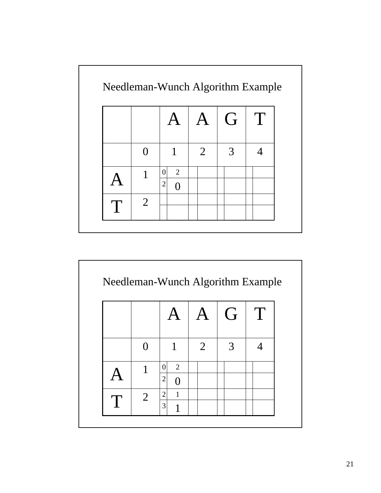

|                |                     | $\mathbf{A}$ | G | T |
|----------------|---------------------|--------------|---|---|
| ∩              | 1                   | 2            | 3 |   |
| 1              | $\overline{2}$<br>0 |              |   |   |
|                | $\overline{2}$      |              |   |   |
| $\overline{2}$ | $\overline{c}$<br>1 |              |   |   |
|                | 3<br>1              |              |   |   |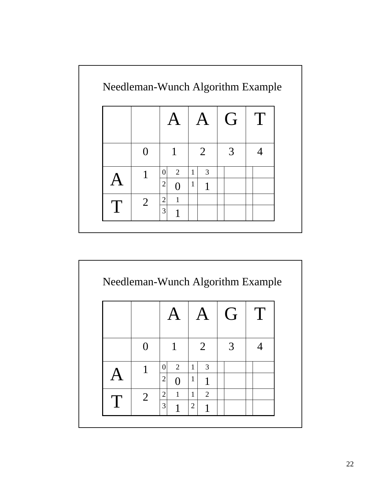|                |                                |              |                | G | T |
|----------------|--------------------------------|--------------|----------------|---|---|
|                | $\mathbf{1}$                   |              | $\overline{2}$ | 3 |   |
| 1              | 2<br>0                         | $\mathbf{1}$ | 3              |   |   |
|                | $\overline{2}$<br>$\Omega$     | $\mathbf{1}$ | 1              |   |   |
| $\overline{2}$ | $\overline{c}$<br>$\mathbf{1}$ |              |                |   |   |
|                | 3<br>1                         |              |                |   |   |

|                |                |              |                | $\mathsf{A}$ | G | T |
|----------------|----------------|--------------|----------------|--------------|---|---|
|                |                | 1            |                | 2            | 3 |   |
|                | 0              | 2            | $\mathbf{1}$   | 3            |   |   |
|                | $\overline{2}$ | $\Omega$     | $\mathbf{1}$   | 1            |   |   |
| $\overline{2}$ | $\overline{2}$ | $\mathbf{1}$ | $\mathbf{1}$   | 2            |   |   |
|                | 3              | 1            | $\overline{2}$ | 1            |   |   |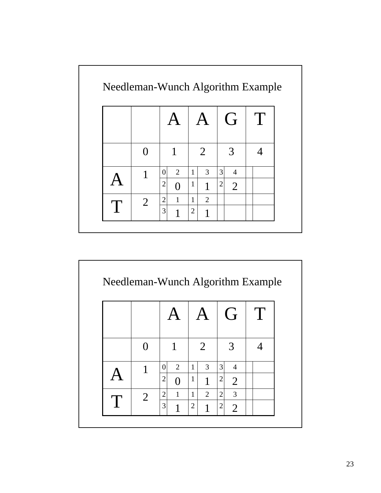|   |                |              |                |                |                | G              | T |
|---|----------------|--------------|----------------|----------------|----------------|----------------|---|
|   |                | 1            |                | $\overline{2}$ |                | 3              |   |
|   | $\theta$       | 2            | $\mathbf{1}$   | 3              | 3              | $\overline{4}$ |   |
|   | $\overline{2}$ |              | $\mathbf{1}$   | 1              | $\overline{2}$ | $\overline{2}$ |   |
| 2 | $\overline{c}$ | $\mathbf{1}$ | 1              | $\overline{2}$ |                |                |   |
|   | 3              | 1            | $\overline{2}$ | 1              |                |                |   |

|                |                |              |                |                |                | G              | T |
|----------------|----------------|--------------|----------------|----------------|----------------|----------------|---|
|                |                | $\mathbf{1}$ |                | 2              |                | 3              |   |
| 1              | 0              | 2            | $\mathbf{1}$   | 3              | $\overline{3}$ | $\overline{4}$ |   |
|                | $\mathbf{2}$   | $\Omega$     | $\mathbf{1}$   | 1              | $\overline{c}$ | $\overline{2}$ |   |
| $\overline{2}$ | $\overline{2}$ | $\mathbf{1}$ | $\mathbf{1}$   | $\overline{2}$ | $\overline{2}$ | 3              |   |
|                | 3              | 1            | $\overline{2}$ | 1              | 2              | $\overline{2}$ |   |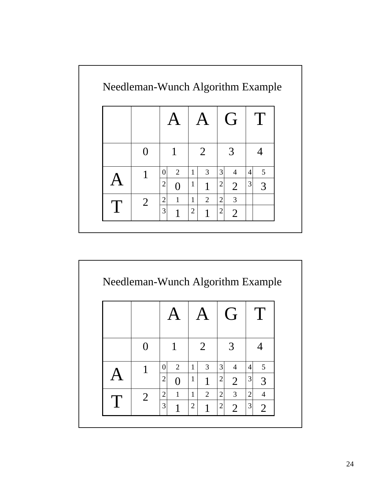|                |                |                |                |                |                | $\overline{G}$ |                | $\mathbf{T}$ |
|----------------|----------------|----------------|----------------|----------------|----------------|----------------|----------------|--------------|
|                |                | 1              |                | 2              |                | 3              |                |              |
| 1              | $\theta$       | $\overline{2}$ | 1              | 3              | 3              | $\overline{4}$ | $\overline{4}$ | 5            |
|                | $\overline{2}$ | $\Omega$       | $\mathbf{1}$   | 1              | $\mathbf{2}$   | $\overline{2}$ | 3              | 3            |
|                | $\overline{2}$ | $\mathbf{1}$   | 1              | $\overline{2}$ | $\overline{2}$ | 3              |                |              |
| $\overline{2}$ | 3              | 1              | $\overline{2}$ | 1              | $\overline{c}$ | $\overline{2}$ |                |              |

|                |                |              |                |   |                | G              |                | Τ              |
|----------------|----------------|--------------|----------------|---|----------------|----------------|----------------|----------------|
|                |                | 1            |                | 2 |                | 3              |                |                |
|                | 0              | 2            | $\mathbf{1}$   | 3 | $\overline{3}$ | $\overline{4}$ | $\overline{4}$ | 5              |
|                | $\overline{c}$ | $\Omega$     | $\mathbf{1}$   | 1 | $\overline{2}$ | 2              | 3              | 3              |
| $\overline{2}$ | $\overline{2}$ | $\mathbf{1}$ | $\mathbf{1}$   | 2 | $\overline{2}$ | $\overline{3}$ | $\overline{2}$ | 4              |
|                | 3              | 1            | $\overline{2}$ | 1 | $\overline{2}$ | $\overline{2}$ | 3              | $\overline{2}$ |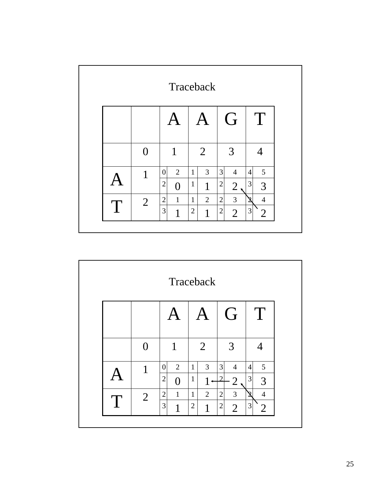|   |                |                                                          | Traceback                                             |                                                                      |                                                    |
|---|----------------|----------------------------------------------------------|-------------------------------------------------------|----------------------------------------------------------------------|----------------------------------------------------|
|   |                |                                                          |                                                       | G                                                                    | T                                                  |
|   | $\Omega$       | $\mathbf{1}$                                             | $\overline{2}$                                        | 3                                                                    |                                                    |
|   | 1              | $\overline{2}$<br>$\theta$<br>$\overline{2}$<br>$\Omega$ | $\overline{3}$<br>$\mathbf{1}$<br>$\mathbf{1}$<br>1   | $\overline{3}$<br>$\overline{4}$<br>$\overline{2}$<br>$\overline{2}$ | 5<br>$\overline{4}$<br>3<br>3                      |
| T | $\overline{2}$ | $\mathbf{2}$<br>$\mathbf{1}$<br>3<br>1                   | $\overline{2}$<br>$\mathbf{1}$<br>$\overline{2}$<br>1 | $\overline{3}$<br>$\overline{2}$<br>$\mathbf{2}$<br>$\overline{2}$   | $\overline{4}$<br>3<br>$\mathcal{D}_{\mathcal{L}}$ |

| G<br>T<br>2<br>1<br>3<br>0<br>$\overline{3}$<br>3<br>5<br>$\overline{2}$<br>$\overline{4}$<br>$\mathbf{1}$<br>$\overline{4}$<br>$\overline{0}$<br>1<br>$\overline{c}$<br>3<br>$\mathcal{D}$<br>$\mathbf{1}$<br>3<br>1<br>$\overline{2}$<br>$\overline{3}$<br>$\mathbf{2}$<br>$\overline{c}$<br>$\overline{2}$<br>$\overline{4}$<br>$\mathbf{1}$<br>$\mathbf{1}$<br>Σ<br>$\overline{2}$<br>T |  |        | Traceback           |                                  |                     |
|---------------------------------------------------------------------------------------------------------------------------------------------------------------------------------------------------------------------------------------------------------------------------------------------------------------------------------------------------------------------------------------------|--|--------|---------------------|----------------------------------|---------------------|
|                                                                                                                                                                                                                                                                                                                                                                                             |  |        |                     |                                  |                     |
|                                                                                                                                                                                                                                                                                                                                                                                             |  |        |                     |                                  |                     |
|                                                                                                                                                                                                                                                                                                                                                                                             |  |        |                     |                                  |                     |
|                                                                                                                                                                                                                                                                                                                                                                                             |  | 3<br>1 | $\overline{2}$<br>1 | $\overline{c}$<br>$\overline{2}$ | 3<br>$\overline{2}$ |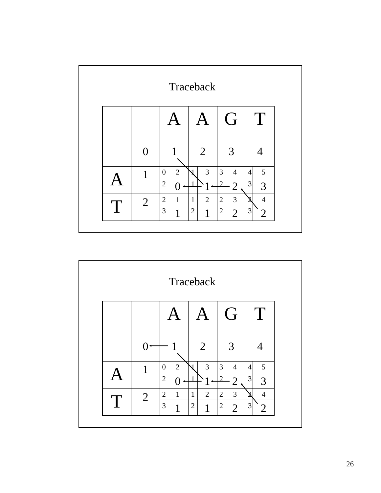|   | Traceback |                                                    |                                                       |                                                                     |                                                      |  |  |  |  |
|---|-----------|----------------------------------------------------|-------------------------------------------------------|---------------------------------------------------------------------|------------------------------------------------------|--|--|--|--|
|   |           |                                                    |                                                       | G                                                                   | T                                                    |  |  |  |  |
|   | 0         |                                                    | $\overline{2}$                                        | 3                                                                   |                                                      |  |  |  |  |
|   | 1         | $\overline{2}$<br>$\overline{0}$<br>$\overline{2}$ | 3                                                     | $\overline{3}$<br>$\overline{4}$<br>$\mathcal{D}$<br>$\overline{2}$ | 5<br>$\overline{4}$<br>$\mathfrak{Z}$<br>3           |  |  |  |  |
| T | 2         | $\overline{2}$<br>$\mathbf{1}$<br>3<br>1           | $\overline{2}$<br>$\mathbf{1}$<br>$\overline{2}$<br>1 | $\overline{3}$<br>$\overline{2}$<br>$\mathbf{2}$<br>$\overline{2}$  | $\overline{4}$<br>$\mathbf 2$<br>3<br>$\overline{2}$ |  |  |  |  |

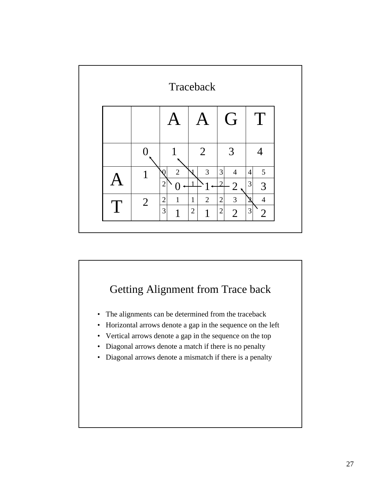

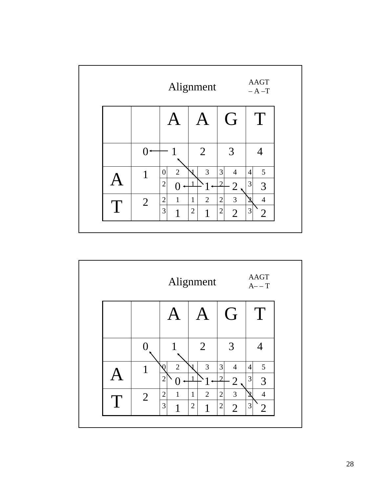|   |   |                                                    | Alignment                                             |                                                       | <b>AAGT</b><br>$- A - T$                   |  |
|---|---|----------------------------------------------------|-------------------------------------------------------|-------------------------------------------------------|--------------------------------------------|--|
|   |   |                                                    |                                                       | G                                                     | T                                          |  |
|   |   |                                                    | $\overline{2}$                                        | 3                                                     |                                            |  |
|   | 1 | $\overline{2}$<br>$\overline{0}$<br>$\overline{2}$ | $\mathfrak{Z}$                                        | 3<br>$\overline{4}$<br>⌒<br>$\overline{2}$            | 5<br>$\overline{4}$<br>3<br>3              |  |
| T | 2 | $\overline{2}$<br>$\mathbf{1}$<br>3<br>1           | $\overline{2}$<br>$\mathbf{1}$<br>$\overline{2}$<br>1 | 3<br>$\overline{2}$<br>$\mathbf{2}$<br>$\overline{2}$ | $\overline{4}$<br>Ջ<br>3<br>$\overline{2}$ |  |

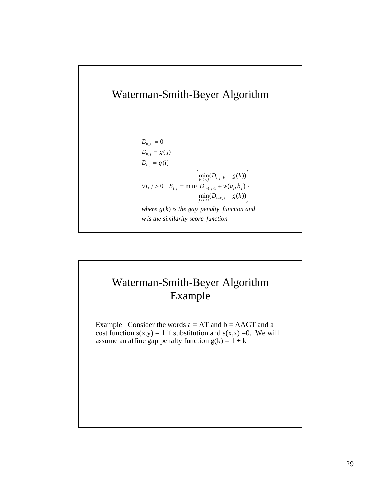# Waterman-Smith-Beyer Algorithm

$$
D_{0,0} = 0
$$
  
\n
$$
D_{0,j} = g(j)
$$
  
\n
$$
D_{i,0} = g(i)
$$
  
\n
$$
\forall i, j > 0 \quad S_{i,j} = \min \left\{ \frac{\min_{1 \le k \le j} (D_{i,j-k} + g(k))}{D_{i-1,j-1} + w(a_i, b_j)} \right\}
$$
  
\nwhere  $g(k)$  is the gap penalty function and  
\n*w* is the similarity score function

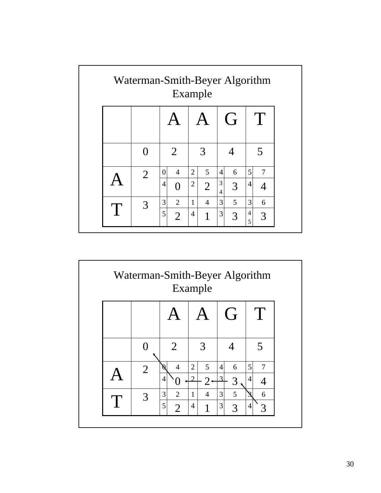|   | Waterman-Smith-Beyer Algorithm<br>Example |          |                |                |                |                 |   |        |   |  |
|---|-------------------------------------------|----------|----------------|----------------|----------------|-----------------|---|--------|---|--|
|   |                                           |          |                |                |                |                 | G |        | T |  |
|   |                                           |          | $\overline{2}$ |                | 3              |                 |   |        | 5 |  |
|   | $\overline{2}$                            | $\theta$ | $\overline{4}$ | $\overline{2}$ | 5              | $\overline{4}$  | 6 | 5      | 7 |  |
|   |                                           | 4        | $\Omega$       | $\overline{2}$ | $\overline{2}$ | 3<br>4          | 3 | 4      |   |  |
| T | 3                                         | 3        | $\overline{2}$ | $\mathbf{1}$   | $\overline{4}$ | $\vert 3 \vert$ | 5 | 3      | 6 |  |
|   |                                           | 5        | $\overline{2}$ | 4              | 1              | 3               | 3 | 4<br>5 | 3 |  |

| Waterman-Smith-Beyer Algorithm<br>Example |                |                                            |                                                        |                                             |                          |  |  |
|-------------------------------------------|----------------|--------------------------------------------|--------------------------------------------------------|---------------------------------------------|--------------------------|--|--|
|                                           |                |                                            |                                                        | G                                           | T<br>5                   |  |  |
|                                           | ( )            | $\overline{2}$                             | 3                                                      |                                             |                          |  |  |
|                                           | $\overline{2}$ | $\overline{4}$<br>Ŋ<br>4                   | $\overline{2}$<br>5<br>$\mathcal{D}$<br>$\overline{2}$ | $\left 4\right $<br>6<br>$\mathcal{R}$<br>3 | 5<br>7<br>$\overline{4}$ |  |  |
|                                           | 3              | 3<br>$\overline{2}$<br>5<br>$\overline{2}$ | $\mathbf{1}$<br>$\overline{4}$<br>$\overline{4}$       | 5<br>$\overline{3}$<br>3<br>3               | 6<br>4<br>3              |  |  |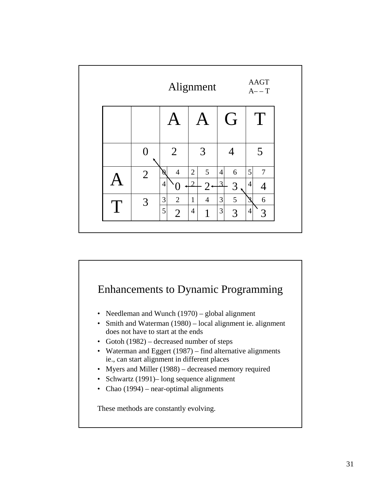|   | <b>AAGT</b><br>Alignment<br>$A - T$ |                     |                           |                      |                                  |  |  |  |
|---|-------------------------------------|---------------------|---------------------------|----------------------|----------------------------------|--|--|--|
|   |                                     |                     | A                         | G                    | T                                |  |  |  |
|   | 0                                   | $\overline{2}$      | $\overline{3}$            | 4                    | 5                                |  |  |  |
|   | $\overline{2}$                      | $\overline{4}$<br>Ø | $\overline{2}$<br>5       | 6<br>$\vert 4 \vert$ | 5<br>$\overline{7}$              |  |  |  |
|   |                                     | 4                   | $\mathcal{D}$<br>$2\cdot$ | $\mathcal{Z}$<br>3   | $\overline{4}$<br>$\overline{4}$ |  |  |  |
| T | 3                                   | $\overline{2}$<br>3 | $\overline{4}$<br>1       | 5<br>3               | 6<br>ວ                           |  |  |  |
|   |                                     | 5<br>$\overline{2}$ | $\overline{4}$<br>1       | $\vert 3 \vert$<br>3 | 4<br>3                           |  |  |  |